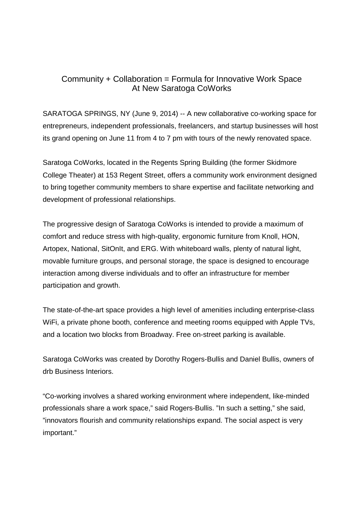## Community + Collaboration = Formula for Innovative Work Space At New Saratoga CoWorks

SARATOGA SPRINGS, NY (June 9, 2014) -- A new collaborative co-working space for entrepreneurs, independent professionals, freelancers, and startup businesses will host its grand opening on June 11 from 4 to 7 pm with tours of the newly renovated space.

Saratoga CoWorks, located in the Regents Spring Building (the former Skidmore College Theater) at 153 Regent Street, offers a community work environment designed to bring together community members to share expertise and facilitate networking and development of professional relationships.

The progressive design of Saratoga CoWorks is intended to provide a maximum of comfort and reduce stress with high-quality, ergonomic furniture from Knoll, HON, Artopex, National, SitOnIt, and ERG. With whiteboard walls, plenty of natural light, movable furniture groups, and personal storage, the space is designed to encourage interaction among diverse individuals and to offer an infrastructure for member participation and growth.

The state-of-the-art space provides a high level of amenities including enterprise-class WiFi, a private phone booth, conference and meeting rooms equipped with Apple TVs, and a location two blocks from Broadway. Free on-street parking is available.

Saratoga CoWorks was created by Dorothy Rogers-Bullis and Daniel Bullis, owners of drb Business Interiors.

"Co-working involves a shared working environment where independent, like-minded professionals share a work space," said Rogers-Bullis. "In such a setting," she said, "innovators flourish and community relationships expand. The social aspect is very important."